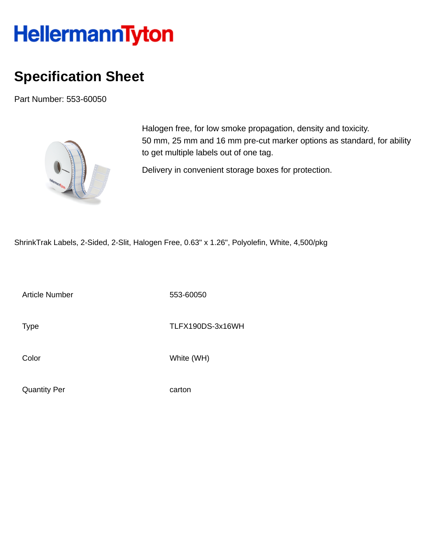## **HellermannTyton**

## **Specification Sheet**

Part Number: 553-60050



Halogen free, for low smoke propagation, density and toxicity. 50 mm, 25 mm and 16 mm pre-cut marker options as standard, for ability to get multiple labels out of one tag.

Delivery in convenient storage boxes for protection.

ShrinkTrak Labels, 2-Sided, 2-Slit, Halogen Free, 0.63" x 1.26", Polyolefin, White, 4,500/pkg

Article Number 553-60050

Type TLFX190DS-3x16WH

Color White (WH)

Quantity Per carton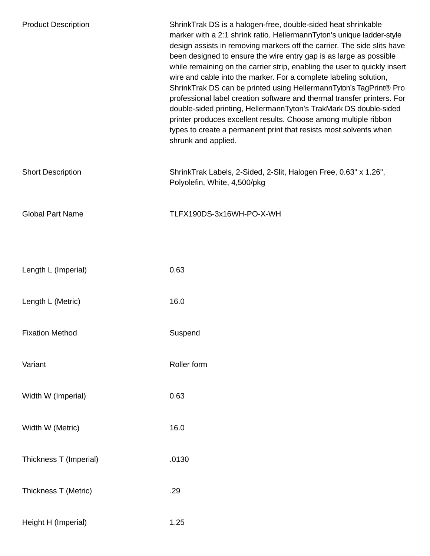| <b>Product Description</b> | ShrinkTrak DS is a halogen-free, double-sided heat shrinkable<br>marker with a 2:1 shrink ratio. HellermannTyton's unique ladder-style<br>design assists in removing markers off the carrier. The side slits have<br>been designed to ensure the wire entry gap is as large as possible<br>while remaining on the carrier strip, enabling the user to quickly insert<br>wire and cable into the marker. For a complete labeling solution,<br>ShrinkTrak DS can be printed using HellermannTyton's TagPrint® Pro<br>professional label creation software and thermal transfer printers. For<br>double-sided printing, HellermannTyton's TrakMark DS double-sided<br>printer produces excellent results. Choose among multiple ribbon<br>types to create a permanent print that resists most solvents when<br>shrunk and applied. |
|----------------------------|---------------------------------------------------------------------------------------------------------------------------------------------------------------------------------------------------------------------------------------------------------------------------------------------------------------------------------------------------------------------------------------------------------------------------------------------------------------------------------------------------------------------------------------------------------------------------------------------------------------------------------------------------------------------------------------------------------------------------------------------------------------------------------------------------------------------------------|
| <b>Short Description</b>   | ShrinkTrak Labels, 2-Sided, 2-Slit, Halogen Free, 0.63" x 1.26",<br>Polyolefin, White, 4,500/pkg                                                                                                                                                                                                                                                                                                                                                                                                                                                                                                                                                                                                                                                                                                                                |
| <b>Global Part Name</b>    | TLFX190DS-3x16WH-PO-X-WH                                                                                                                                                                                                                                                                                                                                                                                                                                                                                                                                                                                                                                                                                                                                                                                                        |
|                            |                                                                                                                                                                                                                                                                                                                                                                                                                                                                                                                                                                                                                                                                                                                                                                                                                                 |
| Length L (Imperial)        | 0.63                                                                                                                                                                                                                                                                                                                                                                                                                                                                                                                                                                                                                                                                                                                                                                                                                            |
| Length L (Metric)          | 16.0                                                                                                                                                                                                                                                                                                                                                                                                                                                                                                                                                                                                                                                                                                                                                                                                                            |
| <b>Fixation Method</b>     | Suspend                                                                                                                                                                                                                                                                                                                                                                                                                                                                                                                                                                                                                                                                                                                                                                                                                         |
| Variant                    | Roller form                                                                                                                                                                                                                                                                                                                                                                                                                                                                                                                                                                                                                                                                                                                                                                                                                     |
| Width W (Imperial)         | 0.63                                                                                                                                                                                                                                                                                                                                                                                                                                                                                                                                                                                                                                                                                                                                                                                                                            |
| Width W (Metric)           | 16.0                                                                                                                                                                                                                                                                                                                                                                                                                                                                                                                                                                                                                                                                                                                                                                                                                            |
| Thickness T (Imperial)     | .0130                                                                                                                                                                                                                                                                                                                                                                                                                                                                                                                                                                                                                                                                                                                                                                                                                           |
| Thickness T (Metric)       | .29                                                                                                                                                                                                                                                                                                                                                                                                                                                                                                                                                                                                                                                                                                                                                                                                                             |
| Height H (Imperial)        | 1.25                                                                                                                                                                                                                                                                                                                                                                                                                                                                                                                                                                                                                                                                                                                                                                                                                            |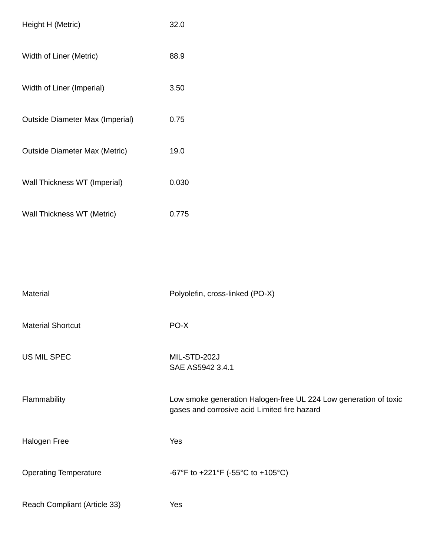| Height H (Metric)                    | 32.0  |
|--------------------------------------|-------|
| Width of Liner (Metric)              | 88.9  |
| Width of Liner (Imperial)            | 3.50  |
| Outside Diameter Max (Imperial)      | 0.75  |
| <b>Outside Diameter Max (Metric)</b> | 19.0  |
| Wall Thickness WT (Imperial)         | 0.030 |
| Wall Thickness WT (Metric)           | 0.775 |

| Material                     | Polyolefin, cross-linked (PO-X)                                                                                  |
|------------------------------|------------------------------------------------------------------------------------------------------------------|
| <b>Material Shortcut</b>     | PO-X                                                                                                             |
| US MIL SPEC                  | MIL-STD-202J<br>SAE AS5942 3.4.1                                                                                 |
| Flammability                 | Low smoke generation Halogen-free UL 224 Low generation of toxic<br>gases and corrosive acid Limited fire hazard |
| Halogen Free                 | Yes                                                                                                              |
| <b>Operating Temperature</b> | -67°F to +221°F (-55°C to +105°C)                                                                                |
| Reach Compliant (Article 33) | Yes                                                                                                              |